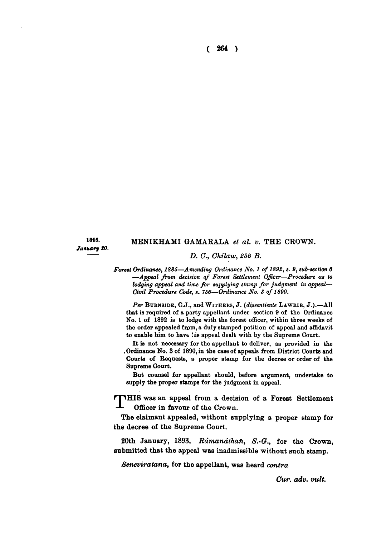**( 264 )** 

1895. *January 20.* 

## **MENIKHAMI GAMARALA** *et al. v.* **THE CROWN.**

#### *D. C, Chilaw, 256 B.*

*Forest Ordinance, 1885*—*Amending Ordinance No. 1 of 1892, s. 9, sub-section 6 —Appeal from decision of Forest Settlement Officer—Procedure as to lodging appeal and time for supplying stamp for judgment in appeal— Civil Procedure Code, s. 756*—*Ordinance No. 3 of 1890.* 

*Per* **BUKNSIDE**, C.J., and **WITHERS** , J. *(dissentiente* **LAWRIE , J.).**—Al l that is required of a party appellant under section 9 of the Ordinance No. 1 of 1892 is to lodge with the forest officer, within three weeks of the order appealed from, a duly stamped petition of appeal and affidavit to enable him to have his appeal dealt with by the Supreme Court.

It is not necessary for the appellant to deliver, as provided in the . Ordinance No . 3 of 1890, in the case of appeals from District Courts and Courts of Requests, a proper stamp for the decree or order of the Supreme Court.

But counsel for appellant should, before argument, undertake to supply the proper stamps for the judgment in appeal.

*<sup>r</sup>* **• iHIS was an appeal from a decision of a Forest Settlement Officer in favour of the Crown.** 

**The claimant appealed, without supplying a proper stamp for the decree of the Supreme Court.** 

**20th January, 1893.** *Rdmandthafi, S.-Q.,* **for the Crown, submitted that the appeal was inadmissible without such stamp.** 

*Seneviratana,* **for the appellant, was heard** *contra* 

*Cur. adv. vult.*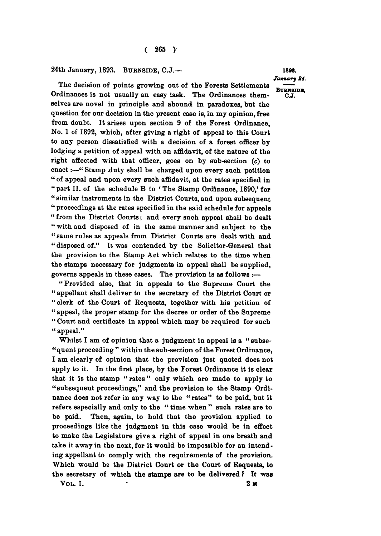#### **24th January, 1893. BURNSIDB , C.J.—** 1898.

**The decision of points growing out of the Forests Settlements**  Ordinances is not usually an easy task. The Ordinances them-<br>selves are novel in principle and abound in paradoxes, but the question for our decision in the present case is, in my opinion, free from doubt. It arises upon section 9 of the Forest Ordinance. No. 1 of 1892, which, after giving a right of appeal to this Court to any person dissatisfied with a decision of a forest officer by lodging a petition of appeal with an affidavit, of the nature of the right affected with that officer, goes on by sub-section (c) to enact :- "Stamp duty shall be charged upon every such petition " of appeal and upon every such affidavit, at the rates specified in " part II. of the schedule B to 'The Stamp Ordinance, 1890,' for "similar instruments in the District Courts, and upon subsequent " proceedings at the rates specified in the said schedule for appeals " from the District Courts; and every such appeal shall be dealt " with and disposed of in the same manner and subject to the " same rules as appeals from District Courts are dealt with and " disposed of." It was contended by the Solicitor-General that the provision to the Stamp Act which relates to the time when the stamps necessary for judgments in appeal shall be supplied. governs appeals in these cases. The provision is as follows :-

"Provided also, that in appeals to the Supreme Court the "appellant shall deliver to the secretary of the District Court or " clerk of the Court of Requests, together with his petition of " appeal, the proper stamp for the decree or order of the Supreme **" appeal, the proper stamp for the decree or order of the Supreme " Court and certificate in appeal which may be required for such " appeal."** 

"quent proceeding" within the sub-section of the Forest Ordinance, I am clearly of opinion that the provision just quoted does not apply to it. In the first place, by the Forest Ordinance it is clear that it is the stamp "rates" only which are made to apply to "subsequent proceedings," and the provision to the Stamp Ordinance does not refer in any way to the "rates" to be paid, but it refers especially and only to the "time when" such rates are to be paid. Then, again, to hold that the provision applied to proceedings like the judgment in this case would be in effect to make the Legislature give a right of appeal in one breath and take it away in the next, for it would be impossible for an intending appellant to comply with the requirements of the provision. Which would be the District Court or the Court of Requests, to **Which would be the District Court or the Court of Requests, to the secretary of which the stamps are to be delivered ? It was** 

**VOL . I. 2<sup>M</sup>**

*January 84.*  BURNSIDE,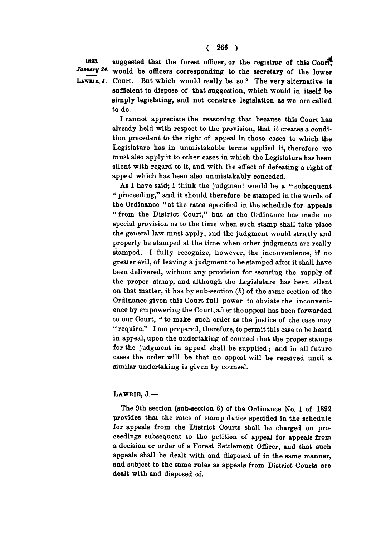1898. suggested that the forest officer, or the registrar of this Court. January 24. would be officers corresponding to the secretary of the lower **IiAWBis, J. Court. But which would really be so ? The very alternative is sufficient to dispose of that suggestion, which would in itself be simply legislating, and not construe legislation as we are called to do.** 

> **I cannot appreciate the reasoning that because this Court has already held with respect to the provision, that it creates a condition precedent to the right of appeal in those cases to which the Legislature has in unmistakable terms applied it, therefore we must also apply it to other cases in which the Legislature has been silent with regard to it, and with the effect of defeating a right of appeal which has been also unmistakably conceded.**

> **As I have said; I think the judgment would be a " subsequent " proceeding," and it should therefore be stamped in the words of the Ordinance " at the rates specified in the schedule for appeals " from the District Court," but as the Ordinance has made no special provision as to the time when such stamp shall take place the general law must apply, and the judgment would strictly and properly be stamped at the time when other judgments are really stamped. I fully recognize, however, the inconvenience, if no greater evil, of leaving a judgment to be stamped after it shall have been delivered, without any provision for securing the supply of the proper stamp, and although the Legislature has been silent on that matter, it has by sub-section (6) of the same section of the Ordinance given this Court full power to obviate the inconvenience by empowering the Court, after the appeal has been forwarded to our Court, " to make such order as the justice of the case may " require." I am prepared, therefore, to permit this case to be heard in appeal, upon the undertaking of counsel that the proper stamps for the judgment in appeal shall be supplied; and in all future cases the order will be that no appeal will be received until a similar undertaking is given by counsel.**

# **LAWRIB , J. —**

**The 9th section (sub-section 6) of the Ordinance No. 1 of 1892 provides that the rates of stamp duties specified in the schedule for appeals from the District Courts shall be charged on proceedings subsequent to the petition of appeal for appeals from a decision or order of a Forest Settlement Officer, and that such appeals shall be dealt with and disposed of in the same manner, and subject to the same rules as appeals from District Courts are dealt with and disposed of.**